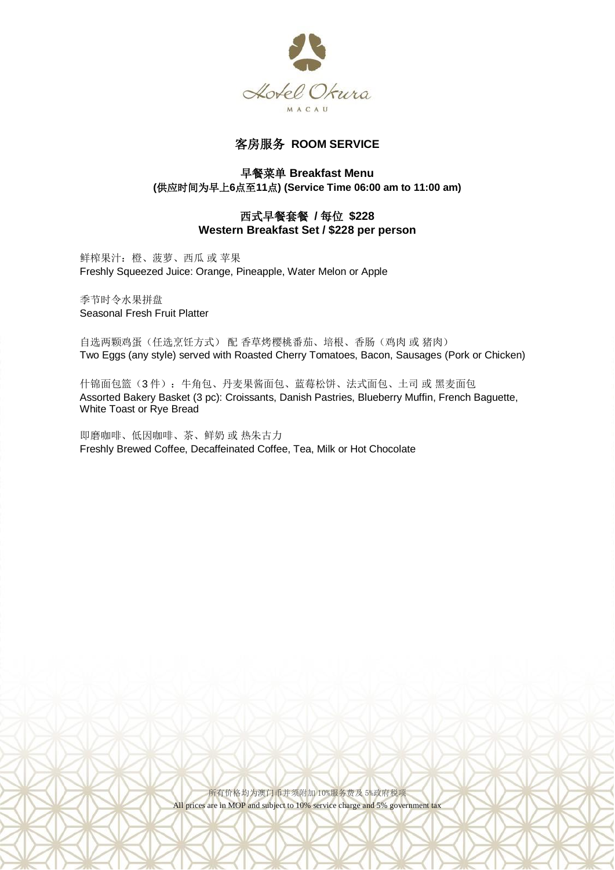

# 客房服务 **ROOM SERVICE**

## 早餐菜单 **Breakfast Menu (**供应时间为早上**6**点至**11**点**) (Service Time 06:00 am to 11:00 am)**

## 西式早餐套餐 **/** 每位 **\$228 Western Breakfast Set / \$228 per person**

鲜榨果汁:橙、菠萝、西瓜 或 苹果 Freshly Squeezed Juice: Orange, Pineapple, Water Melon or Apple

季节时令水果拼盘 Seasonal Fresh Fruit Platter

自选两颗鸡蛋(任选烹饪方式) 配 香草烤樱桃番茄、培根、香肠(鸡肉 或 猪肉) Two Eggs (any style) served with Roasted Cherry Tomatoes, Bacon, Sausages (Pork or Chicken)

什锦面包篮(3件): 牛角包、丹麦果酱面包、蓝莓松饼、法式面包、土司 或 黑麦面包 Assorted Bakery Basket (3 pc): Croissants, Danish Pastries, Blueberry Muffin, French Baguette, White Toast or Rye Bread

即磨咖啡、低因咖啡、茶、鲜奶 或 热朱古力 Freshly Brewed Coffee, Decaffeinated Coffee, Tea, Milk or Hot Chocolate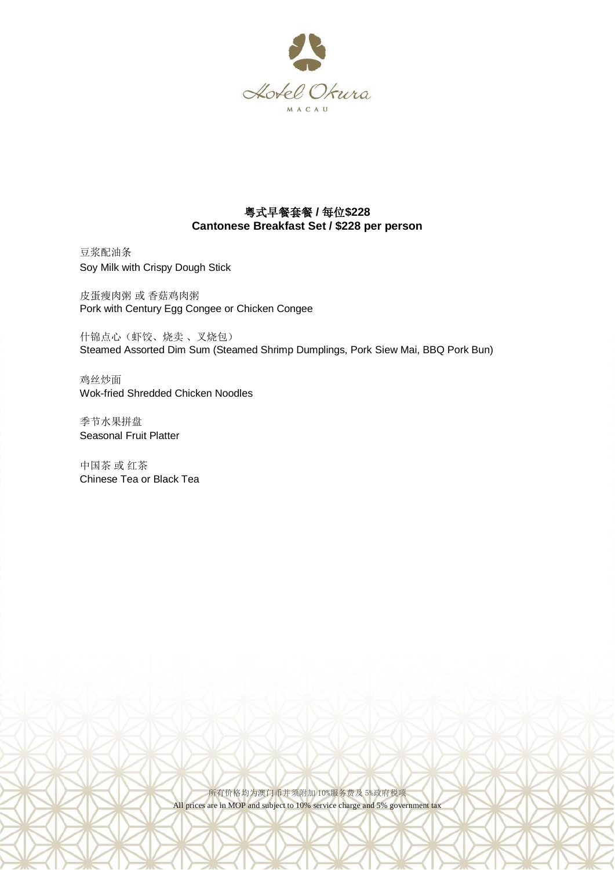

## 粤式早餐套餐 **/** 每位**\$228 Cantonese Breakfast Set / \$228 per person**

豆浆配油条 Soy Milk with Crispy Dough Stick

皮蛋瘦肉粥 或 香菇鸡肉粥 Pork with Century Egg Congee or Chicken Congee

什锦点心(虾饺、烧卖 、叉烧包) Steamed Assorted Dim Sum (Steamed Shrimp Dumplings, Pork Siew Mai, BBQ Pork Bun)

鸡丝炒面 Wok-fried Shredded Chicken Noodles

季节水果拼盘 Seasonal Fruit Platter

中国茶 或 红茶 Chinese Tea or Black Tea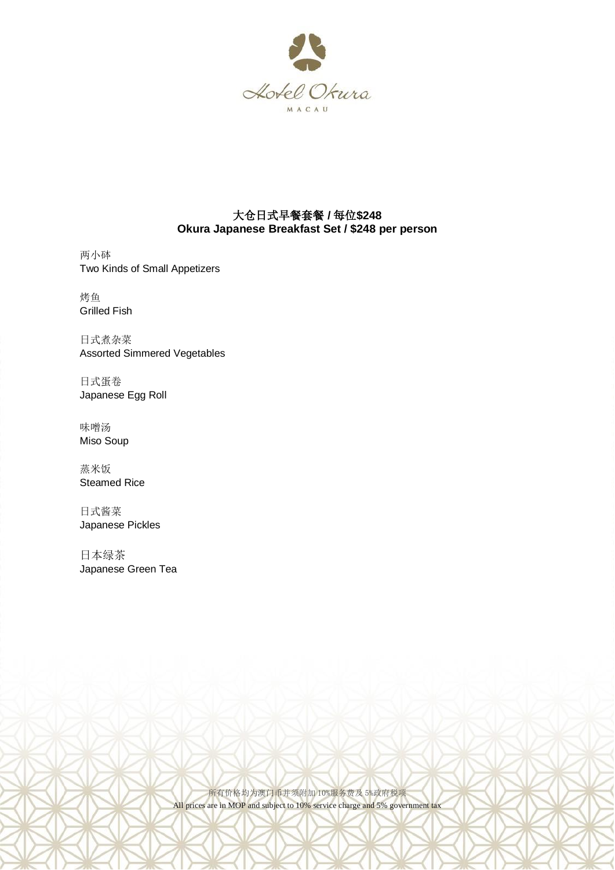

# 大仓日式早餐套餐 **/** 每位**\$248 Okura Japanese Breakfast Set / \$248 per person**

两小砵 Two Kinds of Small Appetizers

烤鱼 Grilled Fish

日式煮杂菜 Assorted Simmered Vegetables

日式蛋卷 Japanese Egg Roll

味噌汤 Miso Soup

蒸米饭 Steamed Rice

日式酱菜 Japanese Pickles

日本绿茶 Japanese Green Tea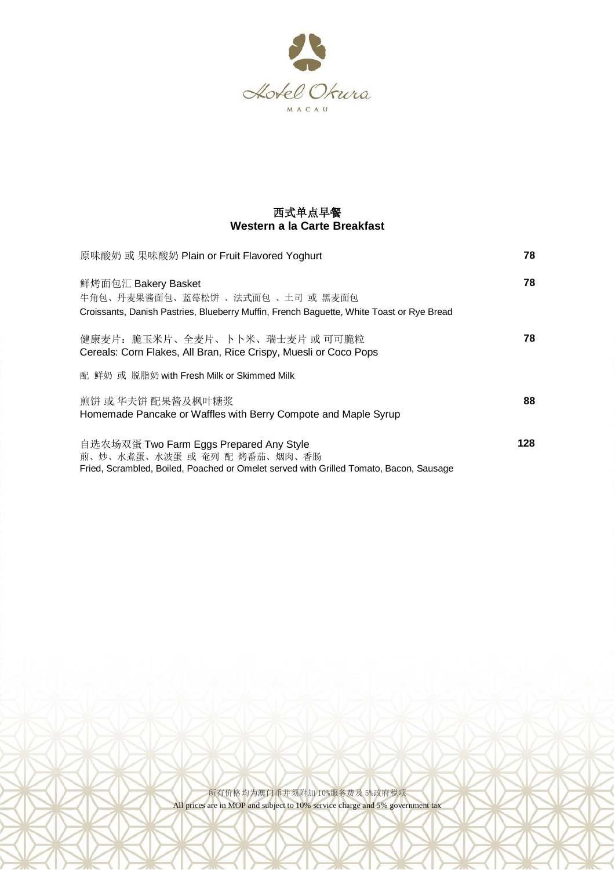

# 西式单点早餐 **Western a la Carte Breakfast**

| 原味酸奶 或 果味酸奶 Plain or Fruit Flavored Yoghurt                                                                                                                       | 78   |
|-------------------------------------------------------------------------------------------------------------------------------------------------------------------|------|
| 鲜烤面包汇 Bakery Basket<br>牛角包、丹麦果酱面包、蓝莓松饼 、法式面包 、土司 或 黑麦面包<br>Croissants, Danish Pastries, Blueberry Muffin, French Baguette, White Toast or Rye Bread               | 78   |
| 健康麦片:脆玉米片、全麦片、卜卜米、瑞士麦片 或 可可脆粒<br>Cereals: Corn Flakes, All Bran, Rice Crispy, Muesli or Coco Pops<br>配 鲜奶 或 脱脂奶 with Fresh Milk or Skimmed Milk                   | 78.  |
| 煎饼 或 华夫饼 配果酱及枫叶糖浆<br>Homemade Pancake or Waffles with Berry Compote and Maple Syrup                                                                               | 88   |
| 自选农场双蛋 Two Farm Eggs Prepared Any Style<br>煎、炒、水煮蛋、水波蛋 或 奄列 配 烤番茄、烟肉、香肠<br>Fried, Scrambled, Boiled, Poached or Omelet served with Grilled Tomato, Bacon, Sausage | 128. |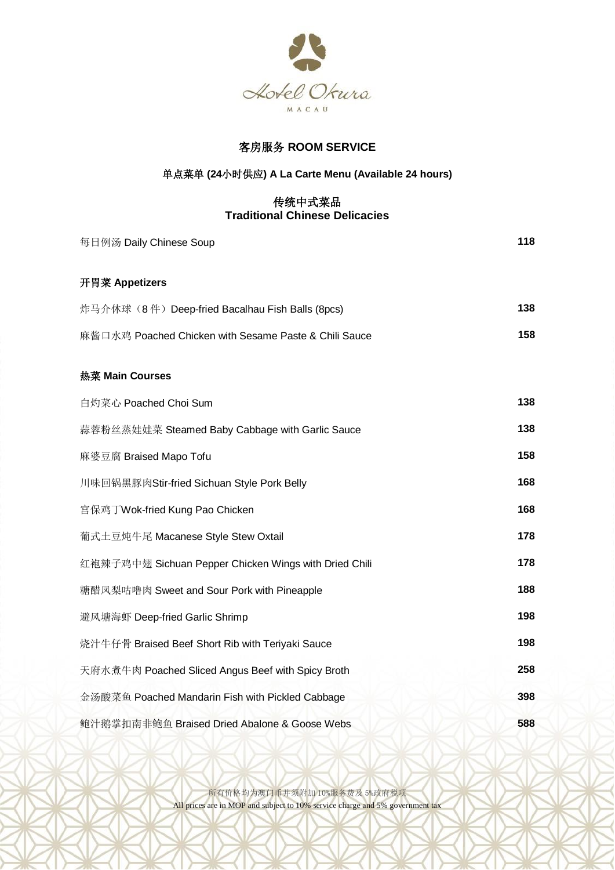

# 客房服务 **ROOM SERVICE**

# 单点菜单 **(24**小时供应**) A La Carte Menu (Available 24 hours)**

## 传统中式菜品 **Traditional Chinese Delicacies**

| 每日例汤 Daily Chinese Soup                               | 118 |
|-------------------------------------------------------|-----|
| 开胃菜 Appetizers                                        |     |
| 炸马介休球 (8件) Deep-fried Bacalhau Fish Balls (8pcs)      | 138 |
| 麻酱口水鸡 Poached Chicken with Sesame Paste & Chili Sauce | 158 |
| 热菜 Main Courses                                       |     |
| 白灼菜心 Poached Choi Sum                                 | 138 |
| 蒜蓉粉丝蒸娃娃菜 Steamed Baby Cabbage with Garlic Sauce       | 138 |
| 麻婆豆腐 Braised Mapo Tofu                                | 158 |
| 川味回锅黑豚肉Stir-fried Sichuan Style Pork Belly            | 168 |
| 宫保鸡丁Wok-fried Kung Pao Chicken                        | 168 |
| 葡式土豆炖牛尾 Macanese Style Stew Oxtail                    | 178 |
| 红袍辣子鸡中翅 Sichuan Pepper Chicken Wings with Dried Chili | 178 |
| 糖醋凤梨咕噜肉 Sweet and Sour Pork with Pineapple            | 188 |
| 避风塘海虾 Deep-fried Garlic Shrimp                        | 198 |
| 烧汁牛仔骨 Braised Beef Short Rib with Teriyaki Sauce      | 198 |
| 天府水煮牛肉 Poached Sliced Angus Beef with Spicy Broth     | 258 |
| 金汤酸菜鱼 Poached Mandarin Fish with Pickled Cabbage      | 398 |
| 鲍汁鹅掌扣南非鲍鱼 Braised Dried Abalone & Goose Webs          | 588 |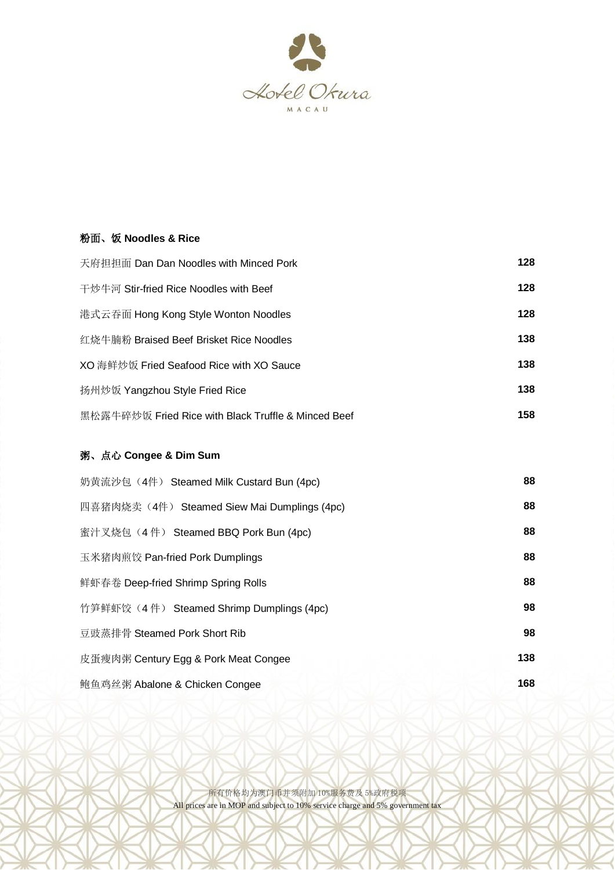

#### 粉面、饭 **Noodles & Rice**

| 天府担担面 Dan Dan Noodles with Minced Pork              | 128 |
|-----------------------------------------------------|-----|
| 干炒牛河 Stir-fried Rice Noodles with Beef              | 128 |
| 港式云吞面 Hong Kong Style Wonton Noodles                | 128 |
| 红烧牛腩粉 Braised Beef Brisket Rice Noodles             | 138 |
| XO 海鲜炒饭 Fried Seafood Rice with XO Sauce            | 138 |
| 扬州炒饭 Yangzhou Style Fried Rice                      | 138 |
| 黑松露牛碎炒饭 Fried Rice with Black Truffle & Minced Beef | 158 |

# 粥、点心 **Congee & Dim Sum**

| 奶黄流沙包 (4件) Steamed Milk Custard Bun (4pc)    | 88  |
|----------------------------------------------|-----|
| 四喜猪肉烧卖 (4件) Steamed Siew Mai Dumplings (4pc) | 88  |
| 蜜汁叉烧包 (4件) Steamed BBQ Pork Bun (4pc)        | 88  |
| 玉米猪肉煎饺 Pan-fried Pork Dumplings              | 88  |
| 鲜虾春卷 Deep-fried Shrimp Spring Rolls          | 88  |
| 竹笋鲜虾饺 (4件) Steamed Shrimp Dumplings (4pc)    | 98  |
| 豆豉蒸排骨 Steamed Pork Short Rib                 | 98  |
| 皮蛋瘦肉粥 Century Egg & Pork Meat Congee         | 138 |
| 鲍鱼鸡丝粥 Abalone & Chicken Congee               | 168 |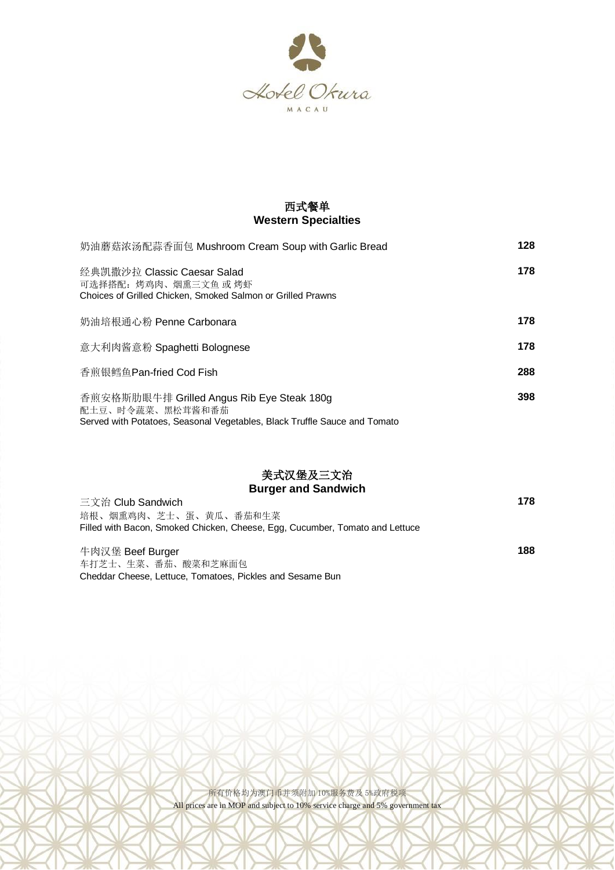

# 西式餐单 **Western Specialties**

| 奶油蘑菇浓汤配蒜香面包 Mushroom Cream Soup with Garlic Bread                                                                                           | 128 |
|---------------------------------------------------------------------------------------------------------------------------------------------|-----|
| 经典凯撒沙拉 Classic Caesar Salad<br>可选择搭配:烤鸡肉、烟熏三文鱼 或 烤虾<br>Choices of Grilled Chicken, Smoked Salmon or Grilled Prawns                          | 178 |
| 奶油培根通心粉 Penne Carbonara                                                                                                                     | 178 |
| 意大利肉酱意粉 Spaghetti Bolognese                                                                                                                 | 178 |
| 香煎银鳕鱼Pan-fried Cod Fish                                                                                                                     | 288 |
| 香煎安格斯肋眼牛排 Grilled Angus Rib Eye Steak 180g<br>配土豆、时令蔬菜、黑松茸酱和番茄<br>Served with Potatoes, Seasonal Vegetables, Black Truffle Sauce and Tomato | 398 |

# 美式汉堡及三文治 **Burger and Sandwich**

| 三文治 Club Sandwich                                                            | 178 |
|------------------------------------------------------------------------------|-----|
| 培根、烟熏鸡肉、芝士、蛋、黄瓜、番茄和生菜                                                        |     |
| Filled with Bacon, Smoked Chicken, Cheese, Egg, Cucumber, Tomato and Lettuce |     |
|                                                                              |     |
| 牛肉汉堡 Beef Burger                                                             | 188 |
| 车打芝士、生菜、番茄、酸菜和芝麻面包                                                           |     |
|                                                                              |     |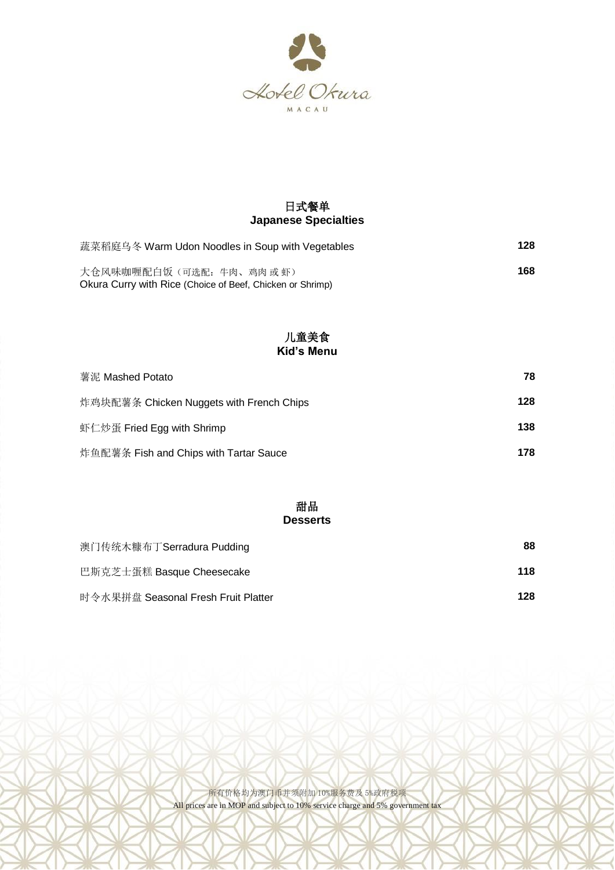

# 日式餐单 **Japanese Specialties**

| 蔬菜稻庭乌冬 Warm Udon Noodles in Soup with Vegetables                                     | 128 |
|--------------------------------------------------------------------------------------|-----|
| 大仓风味咖喱配白饭(可选配: 牛肉、鸡肉或虾)<br>Okura Curry with Rice (Choice of Beef, Chicken or Shrimp) | 168 |

### 儿童美食 **Kid's Menu**

| 薯泥 Mashed Potato                         | 78  |
|------------------------------------------|-----|
| 炸鸡块配薯条 Chicken Nuggets with French Chips | 128 |
| 虾仁炒蛋 Fried Egg with Shrimp               | 138 |
| 炸鱼配薯条 Fish and Chips with Tartar Sauce   | 178 |

### 甜品 **Desserts**

| 澳门传统木糠布丁Serradura Pudding           | 88  |
|-------------------------------------|-----|
| 巴斯克芝士蛋糕 Basque Cheesecake           | 118 |
| 时令水果拼盘 Seasonal Fresh Fruit Platter | 128 |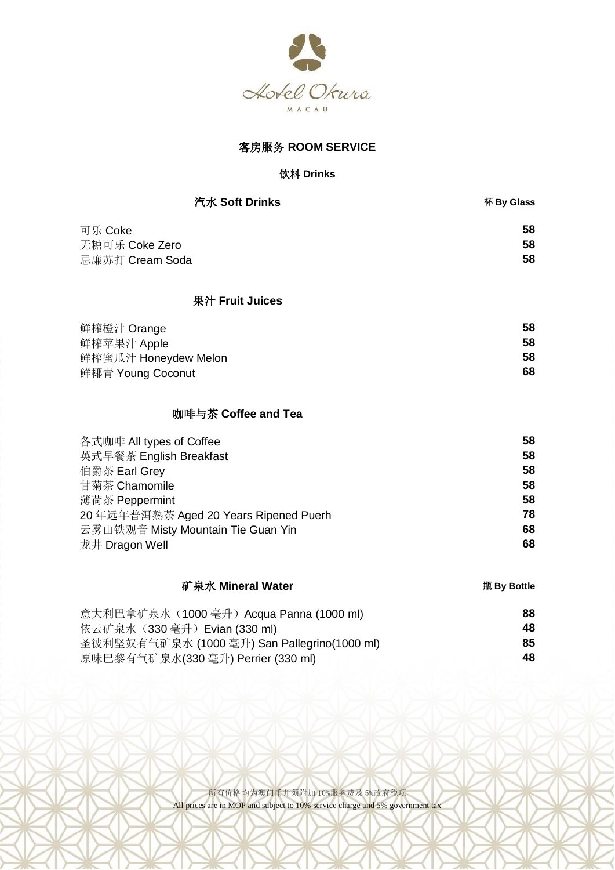

# 客房服务 **ROOM SERVICE**

#### 饮料 **Drinks**

| 汽水 Soft Drinks       | 杯 By Glass |
|----------------------|------------|
| 可乐 Coke              | 58         |
| 无糖可乐 Coke Zero       | 58         |
| 忌廉苏打 Cream Soda      | 58         |
| 果汁 Fruit Juices      |            |
| 鲜榨橙汁 Orange          | 58         |
| 鲜榨苹果汁 Apple          | 58         |
| 鲜榨蜜瓜汁 Honeydew Melon | 58         |
| 鲜椰青 Young Coconut    | 68         |

## 咖啡与茶 **Coffee and Tea**

| 各式咖啡 All types of Coffee              | 58 |
|---------------------------------------|----|
| 英式早餐茶 English Breakfast               | 58 |
| 伯爵茶 Earl Grey                         | 58 |
| 甘菊茶 Chamomile                         | 58 |
| 薄荷茶 Peppermint                        | 58 |
| 20年远年普洱熟茶 Aged 20 Years Ripened Puerh | 78 |
| 云雾山铁观音 Misty Mountain Tie Guan Yin    | 68 |
| 龙井 Dragon Well                        | 68 |

# 矿泉水 **Mineral Water 瓶 By Bottle**

| 意大利巴拿矿泉水 (1000 毫升) Acqua Panna (1000 ml)     | 88 |
|----------------------------------------------|----|
| 依云矿泉水 (330 毫升) Evian (330 ml)                | 48 |
| 圣彼利坚奴有气矿泉水 (1000 毫升) San Pallegrino(1000 ml) | 85 |
| 原味巴黎有气矿泉水(330 毫升) Perrier (330 ml)           | 48 |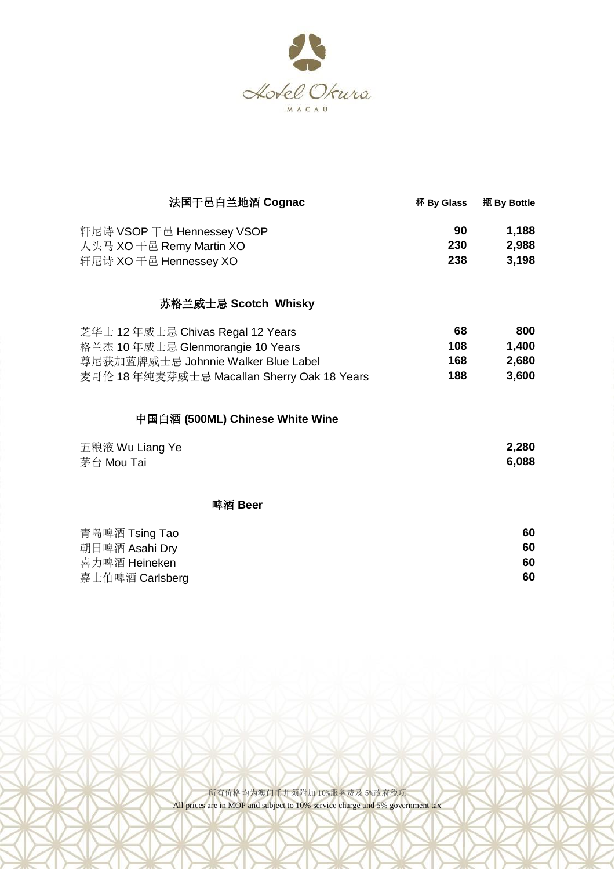

| 法国干邑白兰地酒 Cognac                             | 杯 By Glass | 瓶 By Bottle |
|---------------------------------------------|------------|-------------|
| 轩尼诗 VSOP 干邑 Hennessey VSOP                  | 90         | 1,188       |
| 人头马 XO 干邑 Remy Martin XO                    | 230        | 2,988       |
| 轩尼诗 XO 干邑 Hennessey XO                      | 238        | 3,198       |
| 苏格兰威士忌 Scotch Whisky                        |            |             |
| 芝华士 12 年威士忌 Chivas Regal 12 Years           | 68         | 800         |
| 格兰杰 10 年威士忌 Glenmorangie 10 Years           | 108        | 1,400       |
| 尊尼获加蓝牌威士忌 Johnnie Walker Blue Label         | 168        | 2,680       |
| 麦哥伦 18 年纯麦芽威士忌 Macallan Sherry Oak 18 Years | 188        | 3,600       |
| 中国白酒 (500ML) Chinese White Wine             |            |             |

| 五粮液 Wu Liang Ye | 2,280 |
|-----------------|-------|
| 茅台 Mou Tai      | 6,088 |

啤酒 **Beer**

| 青岛啤酒 Tsing Tao  | 60 |
|-----------------|----|
| 朝日啤酒 Asahi Dry  | 60 |
| 喜力啤酒 Heineken   | 60 |
| 嘉士伯啤酒 Carlsberg | 60 |
|                 |    |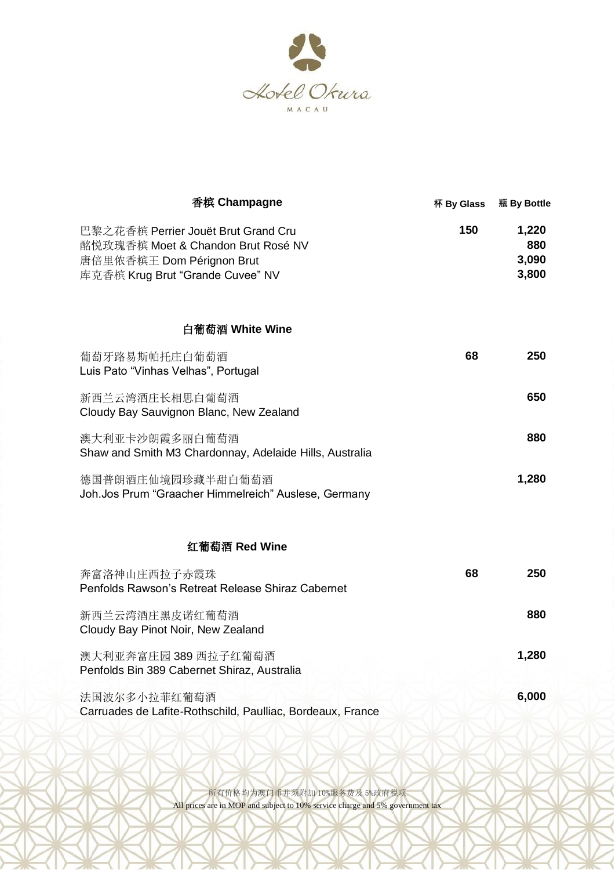

| 香槟 Champagne                                                                                                                               | 杯 By Glass | 瓶 By Bottle                    |
|--------------------------------------------------------------------------------------------------------------------------------------------|------------|--------------------------------|
| 巴黎之花香槟 Perrier Jouët Brut Grand Cru<br>酩悦玫瑰香槟 Moet & Chandon Brut Rosé NV<br>唐倍里侬香槟王 Dom Pérignon Brut<br>库克香槟 Krug Brut "Grande Cuvee" NV | 150        | 1,220<br>880<br>3,090<br>3,800 |
| 白葡萄酒 White Wine                                                                                                                            |            |                                |
| 葡萄牙路易斯帕托庄白葡萄酒<br>Luis Pato "Vinhas Velhas", Portugal                                                                                       | 68         | 250                            |
| 新西兰云湾酒庄长相思白葡萄酒<br>Cloudy Bay Sauvignon Blanc, New Zealand                                                                                  |            | 650                            |
| 澳大利亚卡沙朗霞多丽白葡萄酒<br>Shaw and Smith M3 Chardonnay, Adelaide Hills, Australia                                                                  |            | 880                            |
| 德国普朗酒庄仙境园珍藏半甜白葡萄酒<br>Joh.Jos Prum "Graacher Himmelreich" Auslese, Germany                                                                  |            | 1,280                          |
| 红葡萄酒 Red Wine                                                                                                                              |            |                                |
| 奔富洛神山庄西拉子赤霞珠<br>Penfolds Rawson's Retreat Release Shiraz Cabernet                                                                          | 68         | 250                            |
| 新西兰云湾酒庄黑皮诺红葡萄酒<br>Cloudy Bay Pinot Noir, New Zealand                                                                                       |            | 880                            |
| 澳大利亚奔富庄园 389 西拉子红葡萄酒<br>Penfolds Bin 389 Cabernet Shiraz, Australia                                                                        |            | 1,280                          |
| 法国波尔多小拉菲红葡萄酒<br>Carruades de Lafite-Rothschild, Paulliac, Bordeaux, France                                                                 |            | 6,000                          |